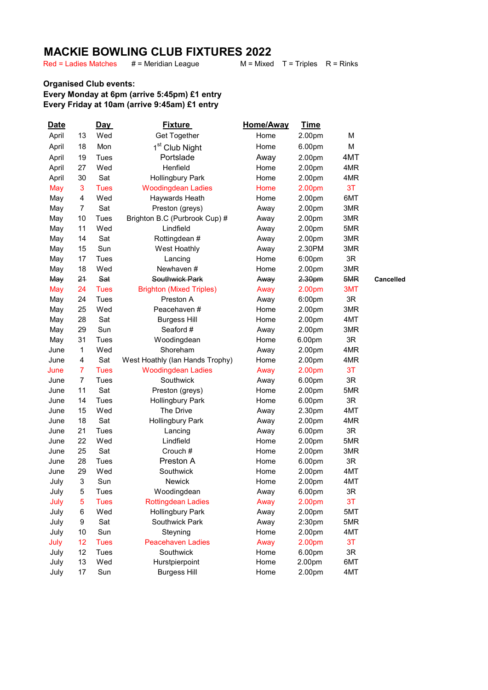## **MACKIE BOWLING CLUB FIXTURES 2022**<br>Red = Ladies Matches # = Meridian League M = Mixed

Red = Ladies Matches

 $M = Mixed$  T = Triples R = Rinks

## Organised Club events: Every Monday at 6pm (arrive 5:45pm) £1 entry Every Friday at 10am (arrive 9:45am) £1 entry

| <b>Date</b> |                | Day         | <b>Fixture</b>                  | Home/Away | <u>Time</u> |     |                  |
|-------------|----------------|-------------|---------------------------------|-----------|-------------|-----|------------------|
| April       | 13             | Wed         | Get Together                    | Home      | 2.00pm      | М   |                  |
| April       | 18             | Mon         | 1 <sup>st</sup> Club Night      | Home      | 6.00pm      | M   |                  |
| April       | 19             | Tues        | Portslade                       | Away      | 2.00pm      | 4MT |                  |
| April       | 27             | Wed         | Henfield                        | Home      | 2.00pm      | 4MR |                  |
| April       | 30             | Sat         | <b>Hollingbury Park</b>         | Home      | 2.00pm      | 4MR |                  |
| May         | 3              | <b>Tues</b> | <b>Woodingdean Ladies</b>       | Home      | 2.00pm      | 3T  |                  |
| May         | 4              | Wed         | Haywards Heath                  | Home      | 2.00pm      | 6MT |                  |
| May         | $\overline{7}$ | Sat         | Preston (greys)                 | Away      | 2.00pm      | 3MR |                  |
| May         | 10             | Tues        | Brighton B.C (Purbrook Cup) #   | Away      | 2.00pm      | 3MR |                  |
| May         | 11             | Wed         | Lindfield                       | Away      | 2.00pm      | 5MR |                  |
| May         | 14             | Sat         | Rottingdean #                   | Away      | 2.00pm      | 3MR |                  |
| May         | 15             | Sun         | West Hoathly                    | Away      | 2.30PM      | 3MR |                  |
| May         | 17             | Tues        | Lancing                         | Home      | 6:00pm      | 3R  |                  |
| May         | 18             | Wed         | Newhaven #                      | Home      | 2.00pm      | 3MR |                  |
| May         | 21             | Sat         | Southwick Park                  | Away      | 2.30pm      | 5MR | <b>Cancelled</b> |
| May         | 24             | <b>Tues</b> | <b>Brighton (Mixed Triples)</b> | Away      | 2.00pm      | 3MT |                  |
| May         | 24             | Tues        | Preston A                       | Away      | 6:00pm      | 3R  |                  |
| May         | 25             | Wed         | Peacehaven #                    | Home      | 2.00pm      | 3MR |                  |
| May         | 28             | Sat         | <b>Burgess Hill</b>             | Home      | 2.00pm      | 4MT |                  |
| May         | 29             | Sun         | Seaford #                       | Away      | 2.00pm      | 3MR |                  |
| May         | 31             | Tues        | Woodingdean                     | Home      | 6.00pm      | 3R  |                  |
| June        | $\mathbf{1}$   | Wed         | Shoreham                        | Away      | 2.00pm      | 4MR |                  |
| June        | $\overline{4}$ | Sat         | West Hoathly (Ian Hands Trophy) | Home      | 2.00pm      | 4MR |                  |
| June        | $\overline{7}$ | <b>Tues</b> | <b>Woodingdean Ladies</b>       | Away      | 2.00pm      | 3T  |                  |
| June        | $\overline{7}$ | Tues        | Southwick                       | Away      | 6.00pm      | 3R  |                  |
| June        | 11             | Sat         | Preston (greys)                 | Home      | 2.00pm      | 5MR |                  |
| June        | 14             | Tues        | <b>Hollingbury Park</b>         | Home      | 6.00pm      | 3R  |                  |
| June        | 15             | Wed         | The Drive                       | Away      | 2.30pm      | 4MT |                  |
| June        | 18             | Sat         | Hollingbury Park                | Away      | 2.00pm      | 4MR |                  |
| June        | 21             | Tues        | Lancing                         | Away      | 6.00pm      | 3R  |                  |
| June        | 22             | Wed         | Lindfield                       | Home      | 2.00pm      | 5MR |                  |
| June        | 25             | Sat         | Crouch #                        | Home      | 2.00pm      | 3MR |                  |
| June        | 28             | Tues        | Preston A                       | Home      | 6.00pm      | 3R  |                  |
| June        | 29             | Wed         | Southwick                       | Home      | 2.00pm      | 4MT |                  |
| July        | 3              | Sun         | Newick                          | Home      | 2.00pm      | 4MT |                  |
| July        | 5              | Tues        | Woodingdean                     | Away      | 6.00pm      | 3R  |                  |
| July        | 5              | <b>Tues</b> | <b>Rottingdean Ladies</b>       | Away      | 2.00pm      | 3T  |                  |
| July        | 6              | Wed         | <b>Hollingbury Park</b>         | Away      | 2.00pm      | 5MT |                  |
| July        | 9              | Sat         | Southwick Park                  | Away      | 2:30pm      | 5MR |                  |
| July        | 10             | Sun         | Steyning                        | Home      | 2.00pm      | 4MT |                  |
| July        | 12             | <b>Tues</b> | <b>Peacehaven Ladies</b>        | Away      | 2.00pm      | 3T  |                  |
| July        | 12             | <b>Tues</b> | Southwick                       | Home      | 6.00pm      | 3R  |                  |
| July        | 13             | Wed         | Hurstpierpoint                  | Home      | 2.00pm      | 6MT |                  |
| July        | 17             | Sun         | <b>Burgess Hill</b>             | Home      | 2.00pm      | 4MT |                  |